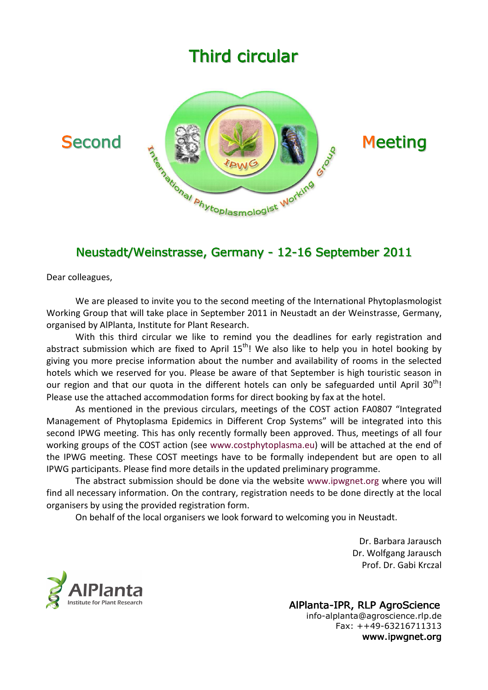# **Third circular**





## Neustadt/Weinstrasse, Germany - 12-16 September 2011

Dear colleagues,

We are pleased to invite you to the second meeting of the International Phytoplasmologist Working Group that will take place in September 2011 in Neustadt an der Weinstrasse, Germany, organised by AlPlanta, Institute for Plant Research.

With this third circular we like to remind you the deadlines for early registration and abstract submission which are fixed to April  $15<sup>th</sup>$ ! We also like to help you in hotel booking by giving you more precise information about the number and availability of rooms in the selected hotels which we reserved for you. Please be aware of that September is high touristic season in our region and that our quota in the different hotels can only be safeguarded until April  $30<sup>th</sup>$ ! Please use the attached accommodation forms for direct booking by fax at the hotel.

As mentioned in the previous circulars, meetings of the COST action FA0807 "Integrated Management of Phytoplasma Epidemics in Different Crop Systems" will be integrated into this second IPWG meeting. This has only recently formally been approved. Thus, meetings of all four working groups of the COST action (see www.costphytoplasma.eu) will be attached at the end of the IPWG meeting. These COST meetings have to be formally independent but are open to all IPWG participants. Please find more details in the updated preliminary programme.

The abstract submission should be done via the website www.ipwgnet.org where you will find all necessary information. On the contrary, registration needs to be done directly at the local organisers by using the provided registration form.

On behalf of the local organisers we look forward to welcoming you in Neustadt.

Dr. Barbara Jarausch Dr. Wolfgang Jarausch Prof. Dr. Gabi Krczal



AlPlanta-IPR, RLP AgroScience info-alplanta@agroscience.rlp.de Fax: ++49-63216711313 www.ipwgnet.org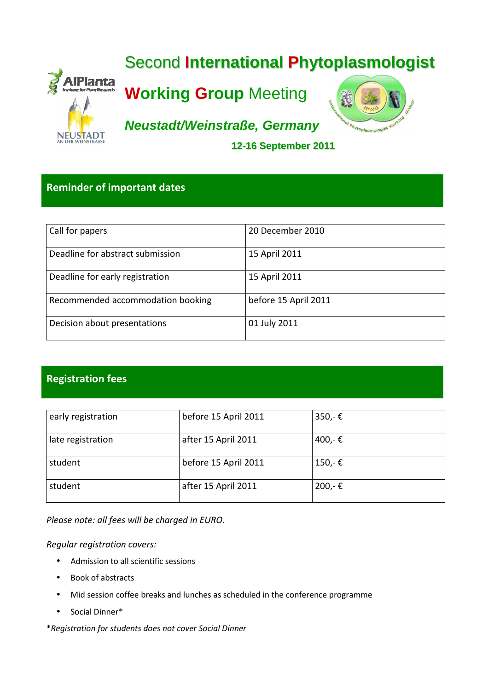

## Reminder of important dates

| Call for papers                   | 20 December 2010     |
|-----------------------------------|----------------------|
| Deadline for abstract submission  | 15 April 2011        |
| Deadline for early registration   | 15 April 2011        |
| Recommended accommodation booking | before 15 April 2011 |
| Decision about presentations      | 01 July 2011         |

## Registration fees

| early registration | before 15 April 2011 | $350 - \epsilon$ |
|--------------------|----------------------|------------------|
| late registration  | after 15 April 2011  | 400,-€           |
| student            | before 15 April 2011 | $150 - \epsilon$ |
| student            | after 15 April 2011  | $200 - \epsilon$ |

Please note: all fees will be charged in EURO.

Regular registration covers:

- Admission to all scientific sessions
- Book of abstracts
- Mid session coffee breaks and lunches as scheduled in the conference programme
- Social Dinner\*

\*Registration for students does not cover Social Dinner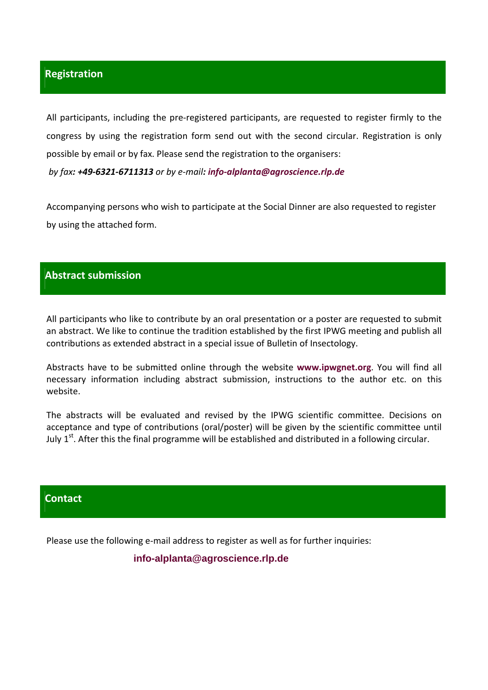#### Registration

All participants, including the pre-registered participants, are requested to register firmly to the congress by using the registration form send out with the second circular. Registration is only possible by email or by fax. Please send the registration to the organisers:

by fax: +49-6321-6711313 or by e-mail: info-alplanta@agroscience.rlp.de

Accompanying persons who wish to participate at the Social Dinner are also requested to register by using the attached form.

#### Abstract submission

All participants who like to contribute by an oral presentation or a poster are requested to submit an abstract. We like to continue the tradition established by the first IPWG meeting and publish all contributions as extended abstract in a special issue of Bulletin of Insectology.

Abstracts have to be submitted online through the website www.ipwgnet.org. You will find all necessary information including abstract submission, instructions to the author etc. on this website.

The abstracts will be evaluated and revised by the IPWG scientific committee. Decisions on acceptance and type of contributions (oral/poster) will be given by the scientific committee until July  $1<sup>st</sup>$ . After this the final programme will be established and distributed in a following circular.

#### **Contact**

Please use the following e-mail address to register as well as for further inquiries:

#### **info-alplanta@agroscience.rlp.de**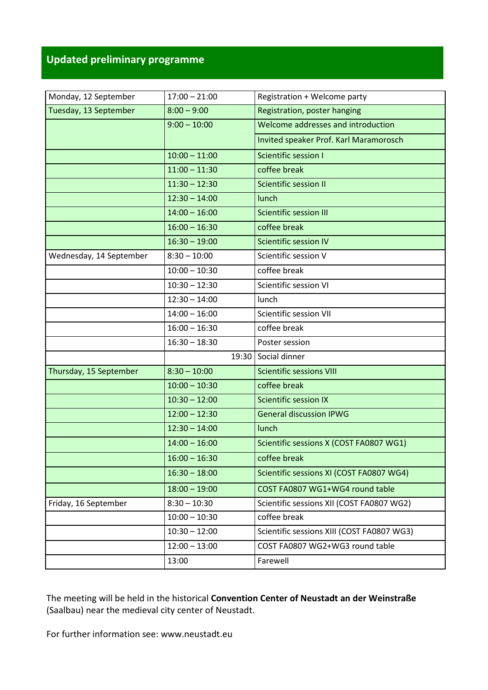## Updated preliminary programme

| Monday, 12 September    | $17:00 - 21:00$ | Registration + Welcome party                                       |  |
|-------------------------|-----------------|--------------------------------------------------------------------|--|
| Tuesday, 13 September   | $8:00 - 9:00$   | Registration, poster hanging<br>Welcome addresses and introduction |  |
|                         | $9:00 - 10:00$  |                                                                    |  |
|                         |                 | Invited speaker Prof. Karl Maramorosch                             |  |
|                         | $10:00 - 11:00$ | Scientific session I                                               |  |
|                         | $11:00 - 11:30$ | coffee break                                                       |  |
|                         | $11:30 - 12:30$ | Scientific session II                                              |  |
|                         | $12:30 - 14:00$ | lunch                                                              |  |
|                         | $14:00 - 16:00$ | <b>Scientific session III</b>                                      |  |
|                         | $16:00 - 16:30$ | coffee break                                                       |  |
|                         | $16:30 - 19:00$ | Scientific session IV                                              |  |
| Wednesday, 14 September | $8:30 - 10:00$  | Scientific session V                                               |  |
|                         | $10:00 - 10:30$ | coffee break                                                       |  |
|                         | $10:30 - 12:30$ | Scientific session VI                                              |  |
|                         | $12:30 - 14:00$ | lunch                                                              |  |
|                         | $14:00 - 16:00$ | Scientific session VII                                             |  |
|                         | $16:00 - 16:30$ | coffee break                                                       |  |
|                         | $16:30 - 18:30$ | Poster session                                                     |  |
|                         | 19:30           | Social dinner                                                      |  |
| Thursday, 15 September  | $8:30 - 10:00$  | <b>Scientific sessions VIII</b>                                    |  |
|                         | $10:00 - 10:30$ | coffee break                                                       |  |
|                         | $10:30 - 12:00$ | <b>Scientific session IX</b>                                       |  |
|                         | $12:00 - 12:30$ | <b>General discussion IPWG</b>                                     |  |
|                         | $12:30 - 14:00$ | lunch                                                              |  |
|                         | $14:00 - 16:00$ | Scientific sessions X (COST FA0807 WG1)                            |  |
|                         | $16:00 - 16:30$ | coffee break                                                       |  |
|                         | $16:30 - 18:00$ | Scientific sessions XI (COST FA0807 WG4)                           |  |
|                         | $18:00 - 19:00$ | COST FA0807 WG1+WG4 round table                                    |  |
| Friday, 16 September    | $8:30 - 10:30$  | Scientific sessions XII (COST FA0807 WG2)                          |  |
|                         | $10:00 - 10:30$ | coffee break                                                       |  |
|                         | $10:30 - 12:00$ | Scientific sessions XIII (COST FA0807 WG3)                         |  |
|                         | $12:00 - 13:00$ | COST FA0807 WG2+WG3 round table                                    |  |
|                         | 13:00           | Farewell                                                           |  |

The meeting will be held in the historical Convention Center of Neustadt an der Weinstraße (Saalbau) near the medieval city center of Neustadt.

For further information see: www.neustadt.eu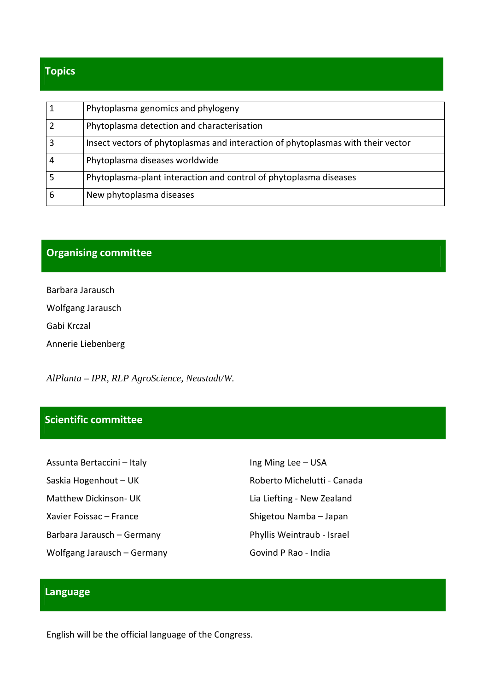## Topics

| Phytoplasma genomics and phylogeny                                               |
|----------------------------------------------------------------------------------|
| Phytoplasma detection and characterisation                                       |
| Insect vectors of phytoplasmas and interaction of phytoplasmas with their vector |
| Phytoplasma diseases worldwide                                                   |
| Phytoplasma-plant interaction and control of phytoplasma diseases                |
| New phytoplasma diseases                                                         |

## Organising committee

Barbara Jarausch Wolfgang Jarausch Gabi Krczal Annerie Liebenberg

*AlPlanta – IPR, RLP AgroScience, Neustadt/W.* 

## Scientific committee

| Assunta Bertaccini – Italy   | Ing Ming Lee - USA          |
|------------------------------|-----------------------------|
| Saskia Hogenhout – UK        | Roberto Michelutti - Canada |
| <b>Matthew Dickinson- UK</b> | Lia Liefting - New Zealand  |
| Xavier Foissac – France      | Shigetou Namba - Japan      |
| Barbara Jarausch – Germany   | Phyllis Weintraub - Israel  |
| Wolfgang Jarausch – Germany  | Govind P Rao - India        |

## **Language**

English will be the official language of the Congress.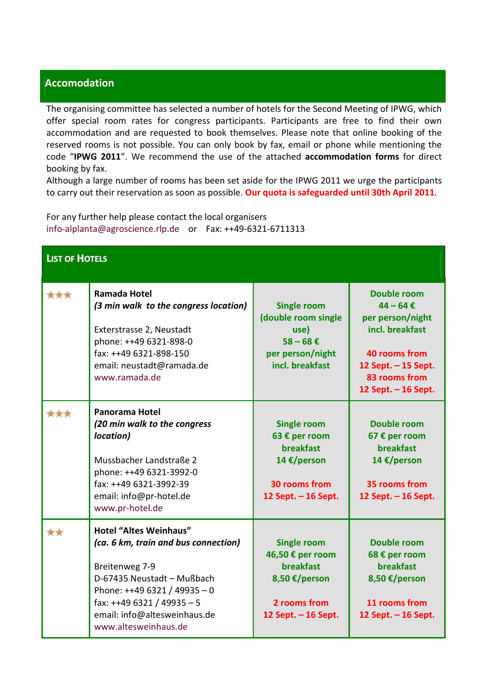### Accomodation

The organising committee has selected a number of hotels for the Second Meeting of IPWG, which offer special room rates for congress participants. Participants are free to find their own accommodation and are requested to book themselves. Please note that online booking of the reserved rooms is not possible. You can only book by fax, email or phone while mentioning the code "IPWG 2011". We recommend the use of the attached accommodation forms for direct booking by fax.

Although a large number of rooms has been set aside for the IPWG 2011 we urge the participants to carry out their reservation as soon as possible. Our quota is safeguarded until 30th April 2011.

For any further help please contact the local organisers info-alplanta@agroscience.rlp.de or Fax: ++49-6321-6711313

| <b>LIST OF HOTELS</b> |                                                                                                                                                                                                                                          |                                                                                                                    |                                                                                                                                                                     |
|-----------------------|------------------------------------------------------------------------------------------------------------------------------------------------------------------------------------------------------------------------------------------|--------------------------------------------------------------------------------------------------------------------|---------------------------------------------------------------------------------------------------------------------------------------------------------------------|
| ***                   | <b>Ramada Hotel</b><br>(3 min walk to the congress location)<br>Exterstrasse 2, Neustadt<br>phone: ++49 6321-898-0<br>fax: ++49 6321-898-150<br>email: neustadt@ramada.de<br>www.ramada.de                                               | <b>Single room</b><br>(double room single<br>use)<br>$58 - 68 \in$<br>per person/night<br>incl. breakfast          | <b>Double room</b><br>$44 - 64 \text{ } \in$<br>per person/night<br>incl. breakfast<br>40 rooms from<br>12 Sept. - 15 Sept.<br>83 rooms from<br>12 Sept. - 16 Sept. |
| ***                   | Panorama Hotel<br>(20 min walk to the congress<br>location)<br>Mussbacher Landstraße 2<br>phone: ++49 6321-3992-0<br>fax: ++49 6321-3992-39<br>email: info@pr-hotel.de<br>www.pr-hotel.de                                                | <b>Single room</b><br>63 € per room<br><b>breakfast</b><br>14 €/person<br>30 rooms from<br>12 Sept. - 16 Sept.     | Double room<br>67 € per room<br><b>breakfast</b><br>14 €/person<br>35 rooms from<br>12 Sept. - 16 Sept.                                                             |
| **                    | <b>Hotel "Altes Weinhaus"</b><br>(ca. 6 km, train and bus connection)<br>Breitenweg 7-9<br>D-67435 Neustadt - Mußbach<br>Phone: $++496321/49935-0$<br>fax: ++49 6321 / 49935 - 5<br>email: info@altesweinhaus.de<br>www.altesweinhaus.de | <b>Single room</b><br>46,50 € per room<br><b>breakfast</b><br>8,50 €/person<br>2 rooms from<br>12 Sept. - 16 Sept. | <b>Double room</b><br>68 € per room<br><b>breakfast</b><br>8,50 €/person<br>11 rooms from<br>12 Sept. - 16 Sept.                                                    |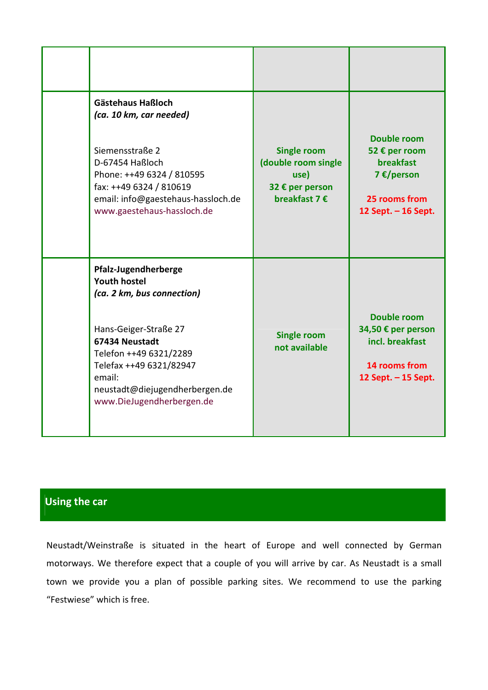| <b>Gästehaus Haßloch</b><br>(ca. 10 km, car needed)<br>Siemensstraße 2<br>D-67454 Haßloch<br>Phone: ++49 6324 / 810595<br>fax: ++49 6324 / 810619<br>email: info@gaestehaus-hassloch.de<br>www.gaestehaus-hassloch.de                              | <b>Single room</b><br>(double room single<br>use)<br>32 € per person<br>breakfast 7 € | Double room<br>52 € per room<br><b>breakfast</b><br>7 €/person<br>25 rooms from<br>12 Sept. - 16 Sept. |
|----------------------------------------------------------------------------------------------------------------------------------------------------------------------------------------------------------------------------------------------------|---------------------------------------------------------------------------------------|--------------------------------------------------------------------------------------------------------|
| Pfalz-Jugendherberge<br><b>Youth hostel</b><br>(ca. 2 km, bus connection)<br>Hans-Geiger-Straße 27<br>67434 Neustadt<br>Telefon ++49 6321/2289<br>Telefax ++49 6321/82947<br>email:<br>neustadt@diejugendherbergen.de<br>www.DieJugendherbergen.de | <b>Single room</b><br>not available                                                   | <b>Double room</b><br>34,50 € per person<br>incl. breakfast<br>14 rooms from<br>12 Sept. - 15 Sept.    |

## Using the car

Neustadt/Weinstraße is situated in the heart of Europe and well connected by German motorways. We therefore expect that a couple of you will arrive by car. As Neustadt is a small town we provide you a plan of possible parking sites. We recommend to use the parking "Festwiese" which is free.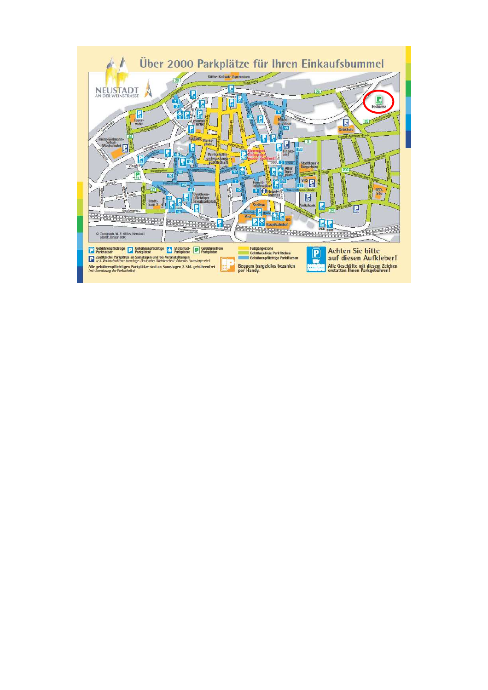